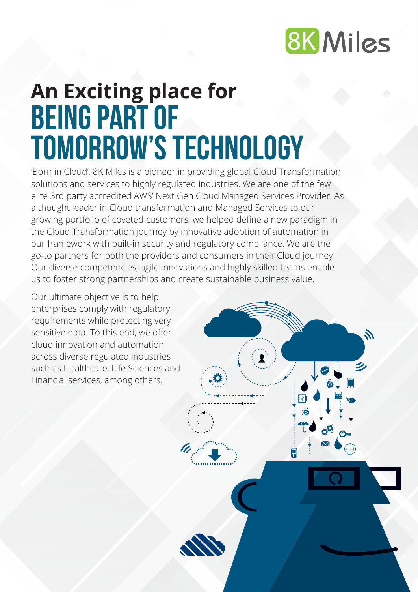

Z.

# **being part of tomorrow's technology An Exciting place for**

'Born in Cloud', 8K Miles is a pioneer in providing global Cloud Transformation solutions and services to highly regulated industries. We are one of the few elite 3rd party accredited AWS' Next Gen Cloud Managed Services Provider. As a thought leader in Cloud transformation and Managed Services to our growing portfolio of coveted customers, we helped define a new paradigm in the Cloud Transformation journey by innovative adoption of automation in our framework with built-in security and regulatory compliance. We are the go-to partners for both the providers and consumers in their Cloud journey. Our diverse competencies, agile innovations and highly skilled teams enable us to foster strong partnerships and create sustainable business value.

Our ultimate objective is to help enterprises comply with regulatory requirements while protecting very sensitive data. To this end, we offer cloud innovation and automation across diverse regulated industries such as Healthcare, Life Sciences and Financial services, among others.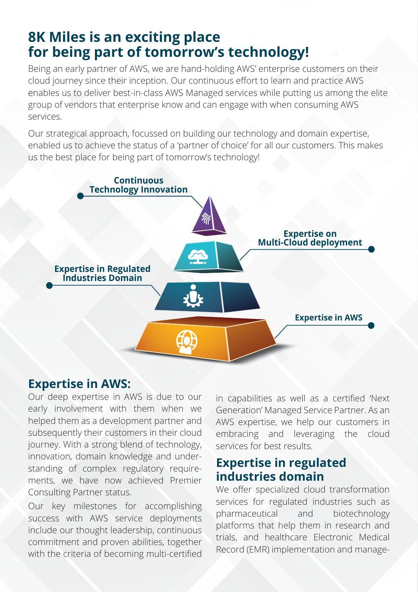## **8K Miles is an exciting place for being part of tomorrow's technology!**

Being an early partner of AWS, we are hand-holding AWS' enterprise customers on their cloud journey since their inception. Our continuous effort to learn and practice AWS enables us to deliver best-in-class AWS Managed services while putting us among the elite group of vendors that enterprise know and can engage with when consuming AWS services.

Our strategical approach, focussed on building our technology and domain expertise, enabled us to achieve the status of a 'partner of choice' for all our customers. This makes us the best place for being part of tomorrow's technology!



#### **Expertise in AWS:**

Our deep expertise in AWS is due to our early involvement with them when we helped them as a development partner and subsequently their customers in their cloud journey. With a strong blend of technology, innovation, domain knowledge and understanding of complex regulatory requirements, we have now achieved Premier Consulting Partner status.

Our key milestones for accomplishing success with AWS service deployments include our thought leadership, continuous commitment and proven abilities, together with the criteria of becoming multi-certified in capabilities as well as a certified 'Next Generation' Managed Service Partner. As an AWS expertise, we help our customers in embracing and leveraging the cloud services for best results.

## **Expertise in regulated industries domain**

We offer specialized cloud transformation services for regulated industries such as pharmaceutical and biotechnology platforms that help them in research and trials, and healthcare Electronic Medical Record (EMR) implementation and manage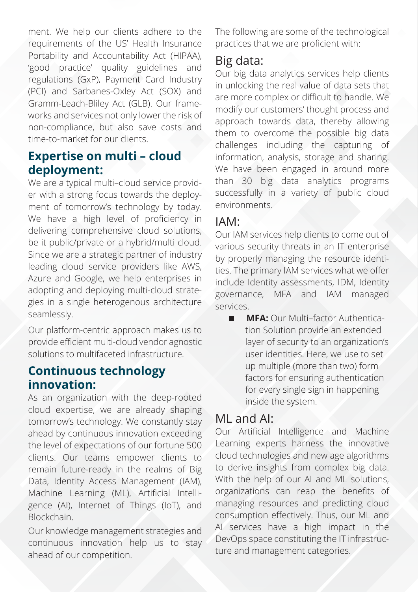ment. We help our clients adhere to the requirements of the US' Health Insurance Portability and Accountability Act (HIPAA), 'good practice' quality guidelines and regulations (GxP), Payment Card Industry (PCI) and Sarbanes-Oxley Act (SOX) and Gramm-Leach-Bliley Act (GLB). Our frameworks and services not only lower the risk of non-compliance, but also save costs and time-to-market for our clients.

#### **Expertise on multi – cloud deployment:**

We are a typical multi–cloud service provider with a strong focus towards the deployment of tomorrow's technology by today. We have a high level of proficiency in delivering comprehensive cloud solutions, be it public/private or a hybrid/multi cloud. Since we are a strategic partner of industry leading cloud service providers like AWS, Azure and Google, we help enterprises in adopting and deploying multi-cloud strategies in a single heterogenous architecture seamlessly.

Our platform-centric approach makes us to provide efficient multi-cloud vendor agnostic solutions to multifaceted infrastructure.

## **Continuous technology innovation:**

As an organization with the deep-rooted cloud expertise, we are already shaping tomorrow's technology. We constantly stay ahead by continuous innovation exceeding the level of expectations of our fortune 500 clients. Our teams empower clients to remain future-ready in the realms of Big Data, Identity Access Management (IAM), Machine Learning (ML), Artificial Intelligence (AI), Internet of Things (IoT), and Blockchain.

Our knowledge management strategies and continuous innovation help us to stay ahead of our competition.

The following are some of the technological practices that we are proficient with:

## Big data:

Our big data analytics services help clients in unlocking the real value of data sets that are more complex or difficult to handle. We modify our customers' thought process and approach towards data, thereby allowing them to overcome the possible big data challenges including the capturing of information, analysis, storage and sharing. We have been engaged in around more than 30 big data analytics programs successfully in a variety of public cloud environments.

## IAM:

Our IAM services help clients to come out of various security threats in an IT enterprise by properly managing the resource identities. The primary IAM services what we offer include Identity assessments, IDM, Identity governance, MFA and IAM managed services.

**MFA:** Our Multi-factor Authentication Solution provide an extended layer of security to an organization's user identities. Here, we use to set up multiple (more than two) form factors for ensuring authentication for every single sign in happening inside the system.

## ML and AI:

Our Artificial Intelligence and Machine Learning experts harness the innovative cloud technologies and new age algorithms to derive insights from complex big data. With the help of our AI and ML solutions, organizations can reap the benefits of managing resources and predicting cloud consumption effectively. Thus, our ML and AI services have a high impact in the DevOps space constituting the IT infrastructure and management categories.